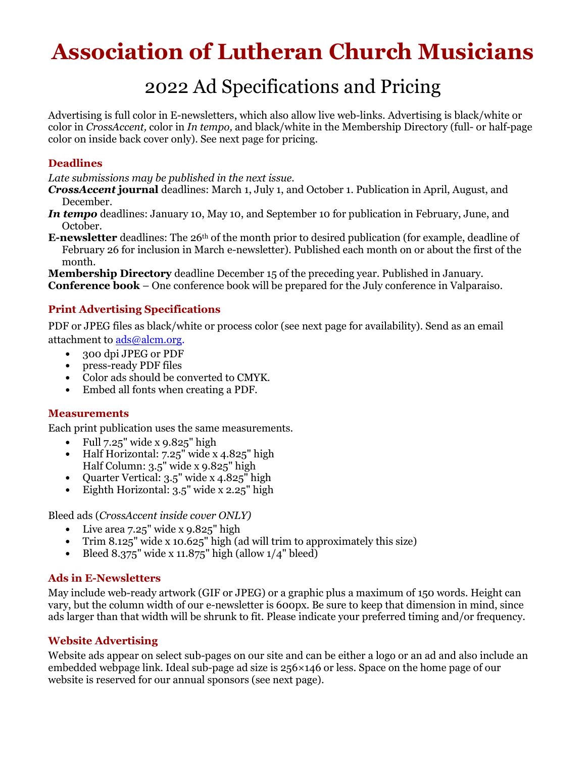# Association of Lutheran Church Musicians

## 2022 Ad Specifications and Pricing

Advertising is full color in E-newsletters, which also allow live web-links. Advertising is black/white or color in CrossAccent, color in In tempo, and black/white in the Membership Directory (full- or half-page color on inside back cover only). See next page for pricing.

#### Deadlines

Late submissions may be published in the next issue.

- CrossAccent journal deadlines: March 1, July 1, and October 1. Publication in April, August, and December.
- In tempo deadlines: January 10, May 10, and September 10 for publication in February, June, and October.
- **E-newsletter** deadlines: The  $26<sup>th</sup>$  of the month prior to desired publication (for example, deadline of February 26 for inclusion in March e-newsletter). Published each month on or about the first of the month.

Membership Directory deadline December 15 of the preceding year. Published in January. Conference book – One conference book will be prepared for the July conference in Valparaiso.

### Print Advertising Specifications

PDF or JPEG files as black/white or process color (see next page for availability). Send as an email attachment to ads@alcm.org.

- 300 dpi JPEG or PDF
- press-ready PDF files
- Color ads should be converted to CMYK.
- Embed all fonts when creating a PDF.

#### Measurements

Each print publication uses the same measurements.

- Full  $7.25$ " wide x  $9.825$ " high
- Half Horizontal: 7.25" wide x 4.825" high Half Column: 3.5" wide x 9.825" high
- Quarter Vertical: 3.5" wide x 4.825" high
- Eighth Horizontal: 3.5" wide x 2.25" high

Bleed ads (CrossAccent inside cover ONLY)

- Live area 7.25" wide x 9.825" high
- Trim 8.125" wide x 10.625" high (ad will trim to approximately this size)
- Bleed  $8.375$ " wide x 11.875" high (allow  $1/4$ " bleed)

#### Ads in E-Newsletters

May include web-ready artwork (GIF or JPEG) or a graphic plus a maximum of 150 words. Height can vary, but the column width of our e-newsletter is 600px. Be sure to keep that dimension in mind, since ads larger than that width will be shrunk to fit. Please indicate your preferred timing and/or frequency.

#### Website Advertising

Website ads appear on select sub-pages on our site and can be either a logo or an ad and also include an embedded webpage link. Ideal sub-page ad size is 256×146 or less. Space on the home page of our website is reserved for our annual sponsors (see next page).